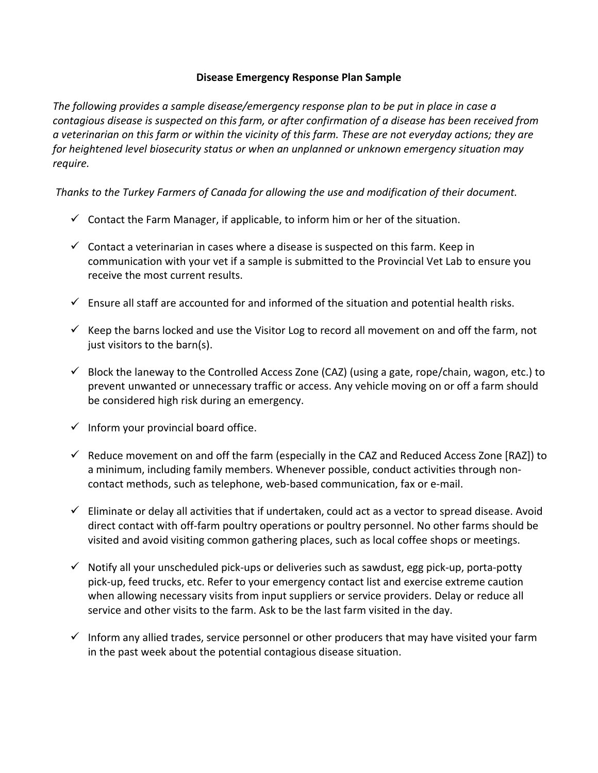## **Disease Emergency Response Plan Sample**

*The following provides a sample disease/emergency response plan to be put in place in case a contagious disease is suspected on this farm, or after confirmation of a disease has been received from a veterinarian on this farm or within the vicinity of this farm. These are not everyday actions; they are for heightened level biosecurity status or when an unplanned or unknown emergency situation may require.*

*Thanks to the Turkey Farmers of Canada for allowing the use and modification of their document.*

- $\checkmark$  Contact the Farm Manager, if applicable, to inform him or her of the situation.
- $\checkmark$  Contact a veterinarian in cases where a disease is suspected on this farm. Keep in communication with your vet if a sample is submitted to the Provincial Vet Lab to ensure you receive the most current results.
- $\checkmark$  Ensure all staff are accounted for and informed of the situation and potential health risks.
- $\checkmark$  Keep the barns locked and use the Visitor Log to record all movement on and off the farm, not just visitors to the barn(s).
- $\checkmark$  Block the laneway to the Controlled Access Zone (CAZ) (using a gate, rope/chain, wagon, etc.) to prevent unwanted or unnecessary traffic or access. Any vehicle moving on or off a farm should be considered high risk during an emergency.
- $\checkmark$  Inform your provincial board office.
- $\checkmark$  Reduce movement on and off the farm (especially in the CAZ and Reduced Access Zone [RAZ]) to a minimum, including family members. Whenever possible, conduct activities through noncontact methods, such as telephone, web-based communication, fax or e-mail.
- $\checkmark$  Eliminate or delay all activities that if undertaken, could act as a vector to spread disease. Avoid direct contact with off-farm poultry operations or poultry personnel. No other farms should be visited and avoid visiting common gathering places, such as local coffee shops or meetings.
- $\checkmark$  Notify all your unscheduled pick-ups or deliveries such as sawdust, egg pick-up, porta-potty pick-up, feed trucks, etc. Refer to your emergency contact list and exercise extreme caution when allowing necessary visits from input suppliers or service providers. Delay or reduce all service and other visits to the farm. Ask to be the last farm visited in the day.
- $\checkmark$  Inform any allied trades, service personnel or other producers that may have visited your farm in the past week about the potential contagious disease situation.